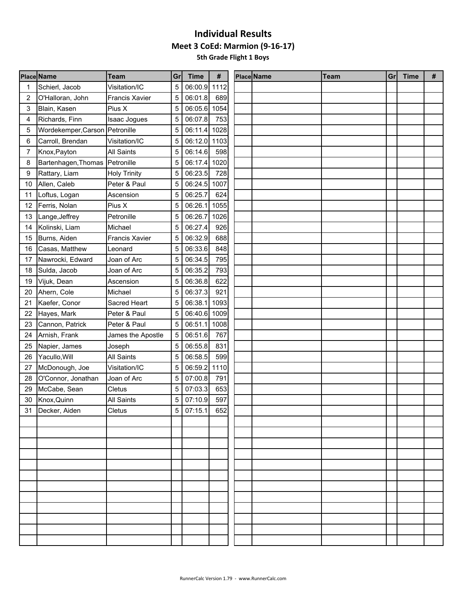|    | <b>Place Name</b>              | Team                  | Gr | <b>Time</b>  | #    | <b>Place Name</b> | <b>Team</b> | Gr | <b>Time</b> | # |
|----|--------------------------------|-----------------------|----|--------------|------|-------------------|-------------|----|-------------|---|
| 1  | Schierl, Jacob                 | Visitation/IC         | 5  | 06:00.9 1112 |      |                   |             |    |             |   |
| 2  | O'Halloran, John               | <b>Francis Xavier</b> | 5  | 06:01.8      | 689  |                   |             |    |             |   |
| 3  | Blain, Kasen                   | Pius X                | 5  | 06:05.6 1054 |      |                   |             |    |             |   |
| 4  | Richards, Finn                 | Isaac Jogues          | 5  | 06:07.8      | 753  |                   |             |    |             |   |
| 5  | Wordekemper, Carson Petronille |                       | 5  | 06:11.4      | 1028 |                   |             |    |             |   |
| 6  | Carroll, Brendan               | Visitation/IC         | 5  | 06:12.0 1103 |      |                   |             |    |             |   |
| 7  | Knox, Payton                   | <b>All Saints</b>     | 5  | 06:14.6      | 598  |                   |             |    |             |   |
| 8  | Bartenhagen, Thomas Petronille |                       | 5  | 06:17.4 1020 |      |                   |             |    |             |   |
| 9  | Rattary, Liam                  | <b>Holy Trinity</b>   | 5  | 06:23.5      | 728  |                   |             |    |             |   |
| 10 | Allen, Caleb                   | Peter & Paul          | 5  | 06:24.5 1007 |      |                   |             |    |             |   |
| 11 | Loftus, Logan                  | Ascension             | 5  | 06:25.7      | 624  |                   |             |    |             |   |
| 12 | Ferris, Nolan                  | Pius X                | 5  | 06:26.1      | 1055 |                   |             |    |             |   |
| 13 | Lange, Jeffrey                 | Petronille            | 5  | 06:26.7      | 1026 |                   |             |    |             |   |
| 14 | Kolinski, Liam                 | Michael               | 5  | 06:27.4      | 926  |                   |             |    |             |   |
| 15 | Burns, Aiden                   | <b>Francis Xavier</b> | 5  | 06:32.9      | 688  |                   |             |    |             |   |
| 16 | Casas, Matthew                 | Leonard               | 5  | 06:33.6      | 848  |                   |             |    |             |   |
| 17 | Nawrocki, Edward               | Joan of Arc           | 5  | 06:34.5      | 795  |                   |             |    |             |   |
| 18 | Sulda, Jacob                   | Joan of Arc           | 5  | 06:35.2      | 793  |                   |             |    |             |   |
| 19 | Vijuk, Dean                    | Ascension             | 5  | 06:36.8      | 622  |                   |             |    |             |   |
| 20 | Ahern, Cole                    | Michael               | 5  | 06:37.3      | 921  |                   |             |    |             |   |
| 21 | Kaefer, Conor                  | Sacred Heart          | 5  | 06:38.1      | 1093 |                   |             |    |             |   |
| 22 | Hayes, Mark                    | Peter & Paul          | 5  | 06:40.6      | 1009 |                   |             |    |             |   |
| 23 | Cannon, Patrick                | Peter & Paul          | 5  | 06:51.1      | 1008 |                   |             |    |             |   |
| 24 | Arnish, Frank                  | James the Apostle     | 5  | 06:51.6      | 767  |                   |             |    |             |   |
| 25 | Napier, James                  | Joseph                | 5  | 06:55.8      | 831  |                   |             |    |             |   |
| 26 | Yacullo, Will                  | <b>All Saints</b>     | 5  | 06:58.5      | 599  |                   |             |    |             |   |
| 27 | McDonough, Joe                 | Visitation/IC         | 5  | 06:59.2      | 1110 |                   |             |    |             |   |
| 28 | O'Connor, Jonathan             | Joan of Arc           | 5  | 07:00.8      | 791  |                   |             |    |             |   |
| 29 | McCabe, Sean                   | Cletus                | 5  | 07:03.3      | 653  |                   |             |    |             |   |
| 30 | Knox, Quinn                    | <b>All Saints</b>     | 5  | 07:10.9      | 597  |                   |             |    |             |   |
| 31 | Decker, Aiden                  | Cletus                | 5  | 07:15.1      | 652  |                   |             |    |             |   |
|    |                                |                       |    |              |      |                   |             |    |             |   |
|    |                                |                       |    |              |      |                   |             |    |             |   |
|    |                                |                       |    |              |      |                   |             |    |             |   |
|    |                                |                       |    |              |      |                   |             |    |             |   |
|    |                                |                       |    |              |      |                   |             |    |             |   |
|    |                                |                       |    |              |      |                   |             |    |             |   |
|    |                                |                       |    |              |      |                   |             |    |             |   |
|    |                                |                       |    |              |      |                   |             |    |             |   |
|    |                                |                       |    |              |      |                   |             |    |             |   |
|    |                                |                       |    |              |      |                   |             |    |             |   |
|    |                                |                       |    |              |      |                   |             |    |             |   |
|    |                                |                       |    |              |      |                   |             |    |             |   |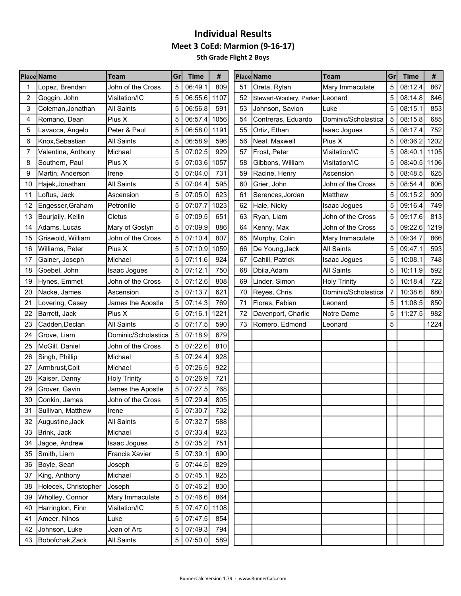|    | <b>Place Name</b>    | Team                | Grl | <b>Time</b>  | #    |    | <b>Place Name</b>               | <b>Team</b>         | Grl | <b>Time</b> | #    |
|----|----------------------|---------------------|-----|--------------|------|----|---------------------------------|---------------------|-----|-------------|------|
|    | Lopez, Brendan       | John of the Cross   | 5   | 06:49.1      | 809  | 51 | Oreta, Rylan                    | Mary Immaculate     | 5   | 08:12.4     | 867  |
| 2  | Goggin, John         | Visitation/IC       | 5   | 06:55.6      | 1107 | 52 | Stewart-Woolery, Parker Leonard |                     | 5   | 08:14.8     | 846  |
| 3  | Coleman, Jonathan    | <b>All Saints</b>   | 5   | 06:56.8      | 591  | 53 | Johnson, Savion                 | Luke                | 5   | 08:15.1     | 853  |
| 4  | Romano, Dean         | Pius X              | 5   | 06:57.4      | 1056 | 54 | Contreras, Eduardo              | Dominic/Scholastica | 5   | 08:15.8     | 685  |
| 5  | Lavacca, Angelo      | Peter & Paul        | 5   | 06:58.0      | 1191 | 55 | Ortiz, Ethan                    | <b>Isaac Jogues</b> | 5   | 08:17.4     | 752  |
| 6  | Knox, Sebastian      | <b>All Saints</b>   | 5   | 06:58.9      | 596  | 56 | Neal, Maxwell                   | Pius X              | 5   | 08:36.2     | 1202 |
| 7  | Valentine, Anthony   | Michael             | 5   | 07:02.5      | 929  | 57 | Frost, Peter                    | Visitation/IC       | 5   | 08:40.1     | 1105 |
| 8  | Southern, Paul       | Pius X              | 5   | 07:03.6      | 1057 | 58 | Gibbons, William                | Visitation/IC       | 5   | 08:40.5     | 1106 |
| 9  | Martin, Anderson     | Irene               | 5   | 07:04.0      | 731  | 59 | Racine, Henry                   | Ascension           | 5   | 08:48.5     | 625  |
| 10 | Hajek, Jonathan      | <b>All Saints</b>   | 5   | 07:04.4      | 595  | 60 | Grier, John                     | John of the Cross   | 5   | 08:54.4     | 806  |
| 11 | Loftus, Jack         | Ascension           | 5   | 07:05.0      | 623  | 61 | Serences, Jordan                | Matthew             | 5   | 09:15.2     | 909  |
| 12 | Engesser, Graham     | Petronille          | 5   | 07:07.7      | 1023 | 62 | Hale, Nicky                     | Isaac Jogues        | 5   | 09:16.4     | 749  |
| 13 | Bourjaily, Kellin    | Cletus              | 5   | 07:09.5      | 651  | 63 | Ryan, Liam                      | John of the Cross   | 5   | 09:17.6     | 813  |
| 14 | Adams, Lucas         | Mary of Gostyn      | 5   | 07:09.9      | 886  | 64 | Kenny, Max                      | John of the Cross   | 5   | 09:22.6     | 1219 |
| 15 | Griswold, William    | John of the Cross   | 5   | 07:10.4      | 807  | 65 | Murphy, Colin                   | Mary Immaculate     | 5   | 09:34.7     | 866  |
| 16 | Williams, Peter      | Pius X              | 5   | 07:10.9      | 1059 | 66 | De Young, Jack                  | <b>All Saints</b>   | 5   | 09:47.1     | 593  |
| 17 | Gainer, Joseph       | Michael             | 5   | 07:11.6      | 924  | 67 | Cahill, Patrick                 | Isaac Jogues        | 5   | 10:08.1     | 748  |
| 18 | Goebel, John         | Isaac Jogues        | 5   | 07:12.1      | 750  | 68 | Dbila, Adam                     | <b>All Saints</b>   | 5   | 10:11.9     | 592  |
| 19 | Hynes, Emmet         | John of the Cross   | 5   | 07:12.6      | 808  | 69 | Linder, Simon                   | <b>Holy Trinity</b> | 5   | 10:18.4     | 722  |
| 20 | Nacke, James         | Ascension           | 5   | 07:13.7      | 621  | 70 | Reyes, Chris                    | Dominic/Scholastica | 7   | 10:38.6     | 680  |
| 21 | Lovering, Casey      | James the Apostle   | 5   | 07:14.3      | 769  | 71 | Flores, Fabian                  | Leonard             | 5   | 11:08.5     | 850  |
| 22 | Barrett, Jack        | Pius X              |     | 07:16.1      | 1221 | 72 | Davenport, Charlie              | Notre Dame          | 5   | 11:27.5     | 982  |
| 23 | Cadden, Declan       | <b>All Saints</b>   | 5   | 07:17.5      | 590  | 73 | Romero, Edmond                  | Leonard             | 5   |             | 1224 |
| 24 | Grove, Liam          | Dominic/Scholastica | 5   | 07:18.9      | 679  |    |                                 |                     |     |             |      |
| 25 | McGill, Daniel       | John of the Cross   | 5   | 07:22.6      | 810  |    |                                 |                     |     |             |      |
| 26 | Singh, Phillip       | Michael             | 5   | 07:24.4      | 928  |    |                                 |                     |     |             |      |
| 27 | Armbrust, Colt       | Michael             | 5   | 07:26.5      | 922  |    |                                 |                     |     |             |      |
| 28 | Kaiser, Danny        | <b>Holy Trinity</b> | 5   | 07:26.9      | 721  |    |                                 |                     |     |             |      |
| 29 | Grover, Gavin        | James the Apostle   | 5   | 07:27.5      | 768  |    |                                 |                     |     |             |      |
| 30 | Conkin, James        | John of the Cross   | 5   | 07:29.4      | 805  |    |                                 |                     |     |             |      |
| 31 | Sullivan, Matthew    | Irene               | 5   | 07:30.7      | 732  |    |                                 |                     |     |             |      |
| 32 | Augustine, Jack      | All Saints          | 5   | 07:32.7      | 588  |    |                                 |                     |     |             |      |
| 33 | Brink, Jack          | Michael             | 5   | 07:33.4      | 923  |    |                                 |                     |     |             |      |
| 34 | Jagoe, Andrew        | Isaac Jogues        | 5   | 07:35.2      | 751  |    |                                 |                     |     |             |      |
| 35 | Smith, Liam          | Francis Xavier      | 5   | 07:39.1      | 690  |    |                                 |                     |     |             |      |
| 36 | Boyle, Sean          | Joseph              | 5   | 07:44.5      | 829  |    |                                 |                     |     |             |      |
| 37 | King, Anthony        | Michael             | 5   | 07:45.1      | 925  |    |                                 |                     |     |             |      |
| 38 | Holecek, Christopher | Joseph              | 5   | 07:46.2      | 830  |    |                                 |                     |     |             |      |
| 39 | Wholley, Connor      | Mary Immaculate     | 5   | 07:46.6      | 864  |    |                                 |                     |     |             |      |
| 40 | Harrington, Finn     | Visitation/IC       | 5   | 07:47.0 1108 |      |    |                                 |                     |     |             |      |
| 41 | Ameer, Ninos         | Luke                | 5   | 07:47.5      | 854  |    |                                 |                     |     |             |      |
| 42 | Johnson, Luke        | Joan of Arc         | 5   | 07:49.3      | 794  |    |                                 |                     |     |             |      |
| 43 |                      |                     | 5   |              |      |    |                                 |                     |     |             |      |
|    | Bobofchak, Zack      | <b>All Saints</b>   |     | 07:50.0      | 589  |    |                                 |                     |     |             |      |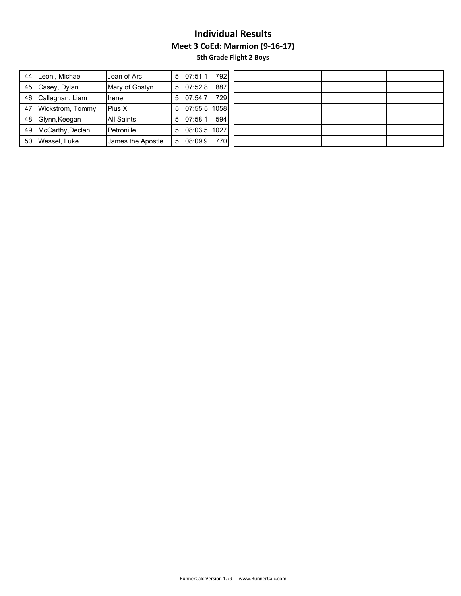|    | 44 Leoni, Michael   | Joan of Arc       |                | 5   07:51.1  | 792 |  |  |  |  |
|----|---------------------|-------------------|----------------|--------------|-----|--|--|--|--|
|    | 45 Casey, Dylan     | Mary of Gostyn    | 5 I            | 07:52.8      | 887 |  |  |  |  |
|    | 46 Callaghan, Liam  | Ilrene            | 5 I            | 07:54.7      | 729 |  |  |  |  |
| 47 | Wickstrom, Tommy    | Pius X            | 5 I            | 07:55.5 1058 |     |  |  |  |  |
|    | 48 Glynn, Keegan    | <b>All Saints</b> | 5 <sub>1</sub> | 07:58.1      | 594 |  |  |  |  |
|    | 49 McCarthy, Declan | Petronille        | 5 <sup>1</sup> | 08:03.5 1027 |     |  |  |  |  |
|    | 50 Wessel, Luke     | James the Apostle | $5^{\circ}$    | 08:09.9      | 770 |  |  |  |  |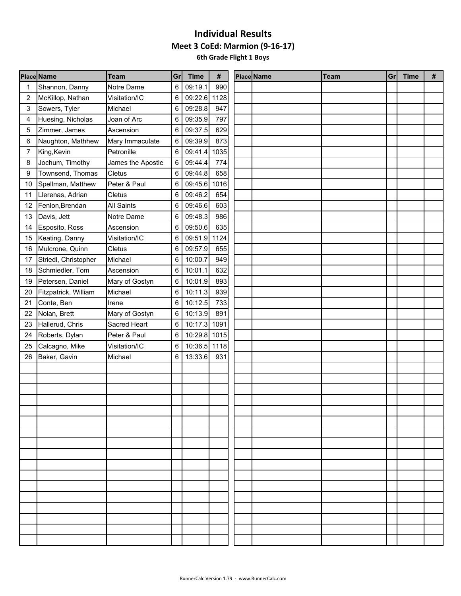|    | <b>Place Name</b>    | <b>Team</b>       | Gr | <b>Time</b>  | #    | Place Name | <b>Team</b> | Gr <sub>1</sub> | <b>Time</b> | # |
|----|----------------------|-------------------|----|--------------|------|------------|-------------|-----------------|-------------|---|
|    | Shannon, Danny       | Notre Dame        | 6  | 09:19.1      | 990  |            |             |                 |             |   |
| 2  | McKillop, Nathan     | Visitation/IC     | 6  | 09:22.6 1128 |      |            |             |                 |             |   |
| 3  | Sowers, Tyler        | Michael           | 6  | 09:28.8      | 947  |            |             |                 |             |   |
| 4  | Huesing, Nicholas    | Joan of Arc       | 6  | 09:35.9      | 797  |            |             |                 |             |   |
| 5  | Zimmer, James        | Ascension         | 6  | 09:37.5      | 629  |            |             |                 |             |   |
| 6  | Naughton, Mathhew    | Mary Immaculate   | 6  | 09:39.9      | 873  |            |             |                 |             |   |
| 7  | King, Kevin          | Petronille        | 6  | 09:41.4      | 1035 |            |             |                 |             |   |
| 8  | Jochum, Timothy      | James the Apostle | 6  | 09:44.4      | 774  |            |             |                 |             |   |
| 9  | Townsend, Thomas     | Cletus            | 6  | 09:44.8      | 658  |            |             |                 |             |   |
| 10 | Spellman, Matthew    | Peter & Paul      | 6  | 09:45.6 1016 |      |            |             |                 |             |   |
| 11 | Llerenas, Adrian     | Cletus            | 6  | 09:46.2      | 654  |            |             |                 |             |   |
| 12 | Fenlon, Brendan      | All Saints        | 6  | 09:46.6      | 603  |            |             |                 |             |   |
| 13 | Davis, Jett          | Notre Dame        | 6  | 09:48.3      | 986  |            |             |                 |             |   |
| 14 | Esposito, Ross       | Ascension         | 6  | 09:50.6      | 635  |            |             |                 |             |   |
| 15 | Keating, Danny       | Visitation/IC     | 6  | 09:51.9 1124 |      |            |             |                 |             |   |
| 16 | Mulcrone, Quinn      | Cletus            | 6  | 09:57.9      | 655  |            |             |                 |             |   |
| 17 | Striedl, Christopher | Michael           | 6  | 10:00.7      | 949  |            |             |                 |             |   |
| 18 | Schmiedler, Tom      | Ascension         | 6  | 10:01.1      | 632  |            |             |                 |             |   |
| 19 | Petersen, Daniel     | Mary of Gostyn    | 6  | 10:01.9      | 893  |            |             |                 |             |   |
| 20 | Fitzpatrick, William | Michael           | 6  | 10:11.3      | 939  |            |             |                 |             |   |
| 21 | Conte, Ben           | Irene             | 6  | 10:12.5      | 733  |            |             |                 |             |   |
| 22 | Nolan, Brett         | Mary of Gostyn    | 6  | 10:13.9      | 891  |            |             |                 |             |   |
| 23 | Hallerud, Chris      | Sacred Heart      | 6  | 10:17.3      | 1091 |            |             |                 |             |   |
| 24 | Roberts, Dylan       | Peter & Paul      | 6  | 10:29.8 1015 |      |            |             |                 |             |   |
| 25 | Calcagno, Mike       | Visitation/IC     | 6  | 10:36.5 1118 |      |            |             |                 |             |   |
| 26 | Baker, Gavin         | Michael           | 6  | 13:33.6      | 931  |            |             |                 |             |   |
|    |                      |                   |    |              |      |            |             |                 |             |   |
|    |                      |                   |    |              |      |            |             |                 |             |   |
|    |                      |                   |    |              |      |            |             |                 |             |   |
|    |                      |                   |    |              |      |            |             |                 |             |   |
|    |                      |                   |    |              |      |            |             |                 |             |   |
|    |                      |                   |    |              |      |            |             |                 |             |   |
|    |                      |                   |    |              |      |            |             |                 |             |   |
|    |                      |                   |    |              |      |            |             |                 |             |   |
|    |                      |                   |    |              |      |            |             |                 |             |   |
|    |                      |                   |    |              |      |            |             |                 |             |   |
|    |                      |                   |    |              |      |            |             |                 |             |   |
|    |                      |                   |    |              |      |            |             |                 |             |   |
|    |                      |                   |    |              |      |            |             |                 |             |   |
|    |                      |                   |    |              |      |            |             |                 |             |   |
|    |                      |                   |    |              |      |            |             |                 |             |   |
|    |                      |                   |    |              |      |            |             |                 |             |   |
|    |                      |                   |    |              |      |            |             |                 |             |   |
|    |                      |                   |    |              |      |            |             |                 |             |   |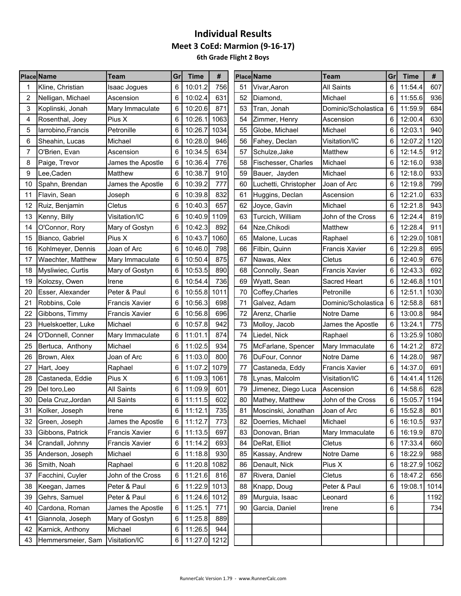|    | <b>Place Name</b>  | Team                  | Gr              | <b>Time</b>  | #    |    | <b>Place Name</b>     | <b>Team</b>           | Gr | <b>Time</b> | #    |
|----|--------------------|-----------------------|-----------------|--------------|------|----|-----------------------|-----------------------|----|-------------|------|
|    | Kline, Christian   | <b>Isaac Jogues</b>   | 6               | 10:01.2      | 756  | 51 | Vivar, Aaron          | <b>All Saints</b>     | 6  | 11:54.4     | 607  |
| 2  | Nelligan, Michael  | Ascension             | 6               | 10:02.4      | 631  | 52 | Diamond,              | Michael               | 6  | 11:55.6     | 936  |
| 3  | Koplinski, Jonah   | Mary Immaculate       | 6               | 10:20.6      | 871  | 53 | Tran, Jonah           | Dominic/Scholastica   | 6  | 11:59.9     | 684  |
| 4  | Rosenthal, Joey    | Pius X                | 6               | 10:26.1      | 1063 | 54 | Zimmer, Henry         | Ascension             | 6  | 12:00.4     | 630  |
| 5  | larrobino, Francis | Petronille            | 6               | 10:26.7      | 1034 | 55 | Globe, Michael        | Michael               | 6  | 12:03.1     | 940  |
| 6  | Sheahin, Lucas     | Michael               | 6               | 10:28.0      | 946  | 56 | Fahey, Declan         | Visitation/IC         | 6  | 12:07.2     | 1120 |
|    | O'Brien, Evan      | Ascension             | 6               | 10:34.5      | 634  | 57 | Schulze, Jake         | Matthew               | 6  | 12:14.5     | 912  |
| 8  | Paige, Trevor      | James the Apostle     | 6               | 10:36.4      | 776  | 58 | Fischesser, Charles   | Michael               | 6  | 12:16.0     | 938  |
| 9  | Lee, Caden         | Matthew               | 6               | 10:38.7      | 910  | 59 | Bauer, Jayden         | Michael               | 6  | 12:18.0     | 933  |
| 10 | Spahn, Brendan     | James the Apostle     | 6               | 10:39.2      | 777  | 60 | Luchetti, Christopher | Joan of Arc           | 6  | 12:19.8     | 799  |
| 11 | Flavin, Sean       | Joseph                | 6               | 10:39.8      | 832  | 61 | Huggins, Declan       | Ascension             | 6  | 12:21.0     | 633  |
| 12 | Ruiz, Benjamin     | Cletus                | 6               | 10:40.3      | 657  | 62 | Joyce, Gavin          | Michael               | 6  | 12:21.8     | 943  |
| 13 | Kenny, Billy       | Visitation/IC         | 6               | 10:40.9      | 1109 | 63 | Turcich, William      | John of the Cross     | 6  | 12:24.4     | 819  |
| 14 | O'Connor, Rory     | Mary of Gostyn        | 6               | 10:42.3      | 892  | 64 | Nze, Chikodi          | Matthew               | 6  | 12:28.4     | 911  |
| 15 | Bianco, Gabriel    | Pius X                | 6               | 10:43.7      | 1060 | 65 | Malone, Lucas         | Raphael               | 6  | 12:29.0     | 1081 |
| 16 | Kohlmeyer, Dennis  | Joan of Arc           | 6               | 10:46.0      | 798  | 66 | Filbin, Quinn         | <b>Francis Xavier</b> | 6  | 12:29.8     | 695  |
| 17 | Waechter, Matthew  | Mary Immaculate       | 6               | 10:50.4      | 875  | 67 | Nawas, Alex           | Cletus                | 6  | 12:40.9     | 676  |
| 18 | Mysliwiec, Curtis  | Mary of Gostyn        | 6               | 10:53.5      | 890  | 68 | Connolly, Sean        | <b>Francis Xavier</b> | 6  | 12:43.3     | 692  |
| 19 | Kolozsy, Owen      | Irene                 | 6               | 10:54.4      | 736  | 69 | Wyatt, Sean           | Sacred Heart          | 6  | 12:46.8     | 1101 |
| 20 | Esser, Alexander   | Peter & Paul          | 6               | 10:55.8 1011 |      | 70 | Coffey, Charles       | Petronille            | 6  | 12:51.1     | 1030 |
| 21 | Robbins, Cole      | <b>Francis Xavier</b> | 6               | 10:56.3      | 698  | 71 | Galvez, Adam          | Dominic/Scholastica   | 6  | 12:58.8     | 681  |
| 22 | Gibbons, Timmy     | <b>Francis Xavier</b> | 6               | 10:56.8      | 696  | 72 | Arenz, Charlie        | Notre Dame            | 6  | 13:00.8     | 984  |
| 23 | Huelskoetter, Luke | Michael               | 6               | 10:57.8      | 942  | 73 | Molloy, Jacob         | James the Apostle     | 6  | 13:24.1     | 775  |
| 24 | O'Donnell, Conner  | Mary Immaculate       | 6               | 11:01.1      | 874  | 74 | Liedel, Nick          | Raphael               | 6  | 13:25.9     | 1080 |
| 25 | Bertuca, Anthony   | Michael               | 6               | 11:02.5      | 934  | 75 | McFarlane, Spencer    | Mary Immaculate       | 6  | 14:21.2     | 872  |
| 26 | Brown, Alex        | Joan of Arc           | 6               | 11:03.0      | 800  | 76 | DuFour, Connor        | Notre Dame            | 6  | 14:28.0     | 987  |
| 27 | Hart, Joey         | Raphael               | 6               | 11:07.2      | 1079 | 77 | Castaneda, Eddy       | <b>Francis Xavier</b> | 6  | 14:37.0     | 691  |
| 28 | Castaneda, Eddie   | Pius X                | 6               | 11:09.3      | 1061 | 78 | Lynas, Malcolm        | Visitation/IC         | 6  | 14:41.4     | 1126 |
| 29 | Del toro, Leo      | <b>All Saints</b>     | 6               | 11:09.9      | 601  | 79 | Jimenez, Diego Luca   | Ascension             | 6  | 14:58.6     | 628  |
| 30 | Dela Cruz, Jordan  | All Saints            | 6               | 11:11.5      | 602  | 80 | Mathey, Matthew       | John of the Cross     | 6  | 15:05.7     | 1194 |
| 31 | Kolker, Joseph     | Irene                 | 6               | 11:12.1      | 735  | 81 | Moscinski, Jonathan   | Joan of Arc           | 6  | 15:52.8     | 801  |
| 32 | Green, Joseph      | James the Apostle     | 6               | 11:12.7      | 773  | 82 | Doerries, Michael     | Michael               | 6  | 16:10.5     | 937  |
| 33 | Gibbons, Patrick   | <b>Francis Xavier</b> | 6               | 11:13.5      | 697  | 83 | Donovan, Brian        | Mary Immaculate       | 6  | 16:19.9     | 870  |
| 34 | Crandall, Johnny   | Francis Xavier        | 6               | 11:14.2      | 693  | 84 | DeRat, Elliot         | Cletus                | 6  | 17:33.4     | 660  |
| 35 | Anderson, Joseph   | Michael               | 6               | 11:18.8      | 930  | 85 | Kassay, Andrew        | Notre Dame            | 6  | 18:22.9     | 988  |
| 36 | Smith, Noah        | Raphael               | 6               | 11:20.8 1082 |      | 86 | Denault, Nick         | Pius X                | 6  | 18:27.9     | 1062 |
| 37 | Facchini, Cuyler   | John of the Cross     | 6               | 11:21.6      | 816  | 87 | Rivera, Daniel        | Cletus                | 6  | 18:47.2     | 656  |
| 38 | Keegan, James      | Peter & Paul          | 6               | 11:22.9 1013 |      | 88 | Knapp, Doug           | Peter & Paul          | 6  | 19:08.1     | 1014 |
| 39 | Gehrs, Samuel      | Peter & Paul          | 6               | 11:24.6 1012 |      | 89 | Murguia, Isaac        | Leonard               | 6  |             | 1192 |
| 40 | Cardona, Roman     | James the Apostle     | 6               | 11:25.1      | 771  | 90 | Garcia, Daniel        | Irene                 | 6  |             | 734  |
| 41 | Giannola, Joseph   | Mary of Gostyn        | 6               | 11:25.8      | 889  |    |                       |                       |    |             |      |
| 42 | Karnick, Anthony   | Michael               | 6               | 11:26.5      | 944  |    |                       |                       |    |             |      |
| 43 | Hemmersmeier, Sam  | Visitation/IC         | $6\phantom{1}6$ | 11:27.0 1212 |      |    |                       |                       |    |             |      |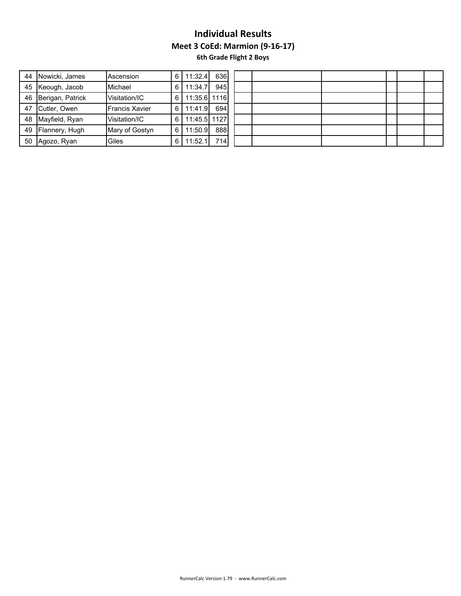| 44 | Nowicki, James   | Ascension             | 6 | 11:32.4      | 636 |  |  |  |  |  |
|----|------------------|-----------------------|---|--------------|-----|--|--|--|--|--|
| 45 | Keough, Jacob    | <b>Michael</b>        | 6 | 11:34.7      | 945 |  |  |  |  |  |
| 46 | Berigan, Patrick | Visitation/IC         | 6 | 11:35.6 1116 |     |  |  |  |  |  |
| 47 | Cutler, Owen     | <b>Francis Xavier</b> | 6 | 11:41.9      | 694 |  |  |  |  |  |
| 48 | Mayfield, Ryan   | Visitation/IC         | 6 | 11:45.5 1127 |     |  |  |  |  |  |
| 49 | Flannery, Hugh   | Mary of Gostyn        | 6 | 11:50.9      | 888 |  |  |  |  |  |
| 50 | Agozo, Ryan      | Giles                 | 6 | 11:52.1      | 714 |  |  |  |  |  |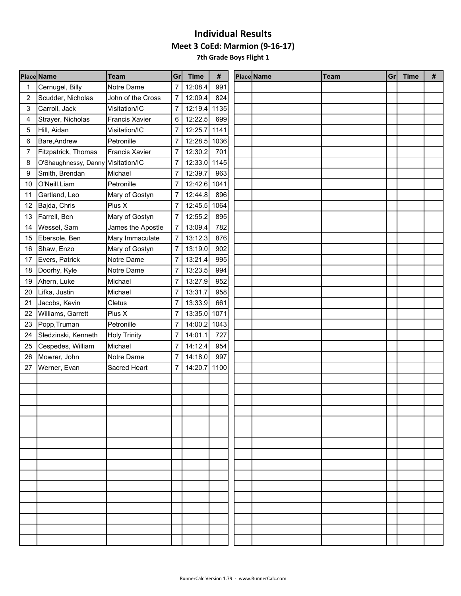**7th Grade Boys Flight 1**

|    | <b>Place Name</b>    | <b>Team</b>         | Gr             | <b>Time</b>  | #    | Place Name | <b>Team</b> | Gr <sub>l</sub> | <b>Time</b> | # |
|----|----------------------|---------------------|----------------|--------------|------|------------|-------------|-----------------|-------------|---|
|    | Cernugel, Billy      | Notre Dame          | 7              | 12:08.4      | 991  |            |             |                 |             |   |
| 2  | Scudder, Nicholas    | John of the Cross   | $\overline{7}$ | 12:09.4      | 824  |            |             |                 |             |   |
| 3  | Carroll, Jack        | Visitation/IC       | 7              | 12:19.4      | 1135 |            |             |                 |             |   |
| 4  | Strayer, Nicholas    | Francis Xavier      | 6              | 12:22.5      | 699  |            |             |                 |             |   |
| 5  | Hill, Aidan          | Visitation/IC       | 7              | 12:25.7      | 1141 |            |             |                 |             |   |
| 6  | Bare, Andrew         | Petronille          | 7              | 12:28.5      | 1036 |            |             |                 |             |   |
| 7  | Fitzpatrick, Thomas  | Francis Xavier      | 7              | 12:30.2      | 701  |            |             |                 |             |   |
| 8  | O'Shaughnessy, Danny | Visitation/IC       | 7              | 12:33.0 1145 |      |            |             |                 |             |   |
| 9  | Smith, Brendan       | Michael             | 7              | 12:39.7      | 963  |            |             |                 |             |   |
| 10 | O'Neill, Liam        | Petronille          | 7              | 12:42.6 1041 |      |            |             |                 |             |   |
| 11 | Gartland, Leo        | Mary of Gostyn      | 7              | 12:44.8      | 896  |            |             |                 |             |   |
| 12 | Bajda, Chris         | Pius X              | 7              | 12:45.5      | 1064 |            |             |                 |             |   |
| 13 | Farrell, Ben         | Mary of Gostyn      | $\overline{7}$ | 12:55.2      | 895  |            |             |                 |             |   |
| 14 | Wessel, Sam          | James the Apostle   | 7              | 13:09.4      | 782  |            |             |                 |             |   |
| 15 | Ebersole, Ben        | Mary Immaculate     | 7              | 13:12.3      | 876  |            |             |                 |             |   |
| 16 | Shaw, Enzo           | Mary of Gostyn      | 7              | 13:19.0      | 902  |            |             |                 |             |   |
| 17 | Evers, Patrick       | Notre Dame          | 7              | 13:21.4      | 995  |            |             |                 |             |   |
| 18 | Doorhy, Kyle         | Notre Dame          | 7              | 13:23.5      | 994  |            |             |                 |             |   |
| 19 | Ahern, Luke          | Michael             | 7              | 13:27.9      | 952  |            |             |                 |             |   |
| 20 | Lifka, Justin        | Michael             | 7              | 13:31.7      | 958  |            |             |                 |             |   |
| 21 | Jacobs, Kevin        | Cletus              | 7              | 13:33.9      | 661  |            |             |                 |             |   |
| 22 | Williams, Garrett    | Pius X              | 7              | 13:35.0 1071 |      |            |             |                 |             |   |
| 23 | Popp, Truman         | Petronille          | 7              | 14:00.2 1043 |      |            |             |                 |             |   |
| 24 | Sledzinski, Kenneth  | <b>Holy Trinity</b> | 7              | 14:01.1      | 727  |            |             |                 |             |   |
| 25 | Cespedes, William    | Michael             | 7              | 14:12.4      | 954  |            |             |                 |             |   |
| 26 | Mowrer, John         | Notre Dame          | 7              | 14:18.0      | 997  |            |             |                 |             |   |
| 27 | Werner, Evan         | Sacred Heart        | 7              | 14:20.7      | 1100 |            |             |                 |             |   |
|    |                      |                     |                |              |      |            |             |                 |             |   |
|    |                      |                     |                |              |      |            |             |                 |             |   |
|    |                      |                     |                |              |      |            |             |                 |             |   |
|    |                      |                     |                |              |      |            |             |                 |             |   |
|    |                      |                     |                |              |      |            |             |                 |             |   |
|    |                      |                     |                |              |      |            |             |                 |             |   |
|    |                      |                     |                |              |      |            |             |                 |             |   |
|    |                      |                     |                |              |      |            |             |                 |             |   |
|    |                      |                     |                |              |      |            |             |                 |             |   |
|    |                      |                     |                |              |      |            |             |                 |             |   |
|    |                      |                     |                |              |      |            |             |                 |             |   |
|    |                      |                     |                |              |      |            |             |                 |             |   |
|    |                      |                     |                |              |      |            |             |                 |             |   |
|    |                      |                     |                |              |      |            |             |                 |             |   |
|    |                      |                     |                |              |      |            |             |                 |             |   |
|    |                      |                     |                |              |      |            |             |                 |             |   |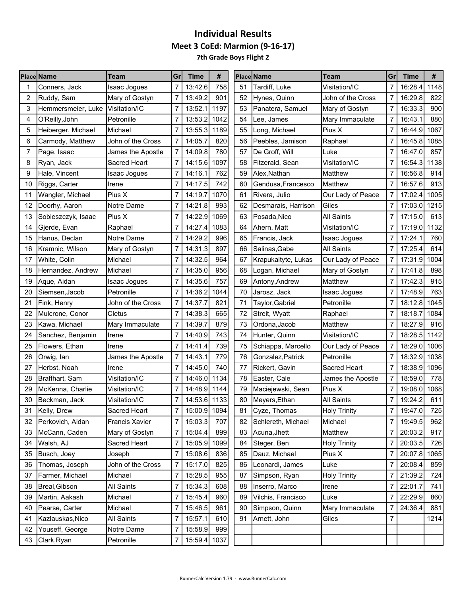**7th Grade Boys Flight 2**

|    | <b>Place Name</b>  | Team              | Gr             | <b>Time</b>  | #    |    | <b>Place Name</b>   | Team                | Gr             | Time    | #    |
|----|--------------------|-------------------|----------------|--------------|------|----|---------------------|---------------------|----------------|---------|------|
|    | Conners, Jack      | Isaac Jogues      |                | 13:42.6      | 758  | 51 | Tardiff. Luke       | Visitation/IC       | 7              | 16:28.4 | 1148 |
| 2  | Ruddy, Sam         | Mary of Gostyn    |                | 13:49.2      | 901  | 52 | Hynes, Quinn        | John of the Cross   | 7              | 16:29.8 | 822  |
| 3  | Hemmersmeier, Luke | Visitation/IC     |                | 13:52.1      | 1197 | 53 | Panatera, Samuel    | Mary of Gostyn      | 7              | 16:33.3 | 900  |
| 4  | O'Reilly, John     | Petronille        |                | 13:53.2      | 1042 | 54 | Lee, James          | Mary Immaculate     | 7              | 16:43.1 | 880  |
| 5  | Heiberger, Michael | Michael           |                | 13:55.3      | 1189 | 55 | Long, Michael       | Pius X              | 7              | 16:44.9 | 1067 |
| 6  | Carmody, Matthew   | John of the Cross |                | 14:05.7      | 820  | 56 | Peebles, Jamison    | Raphael             | 7              | 16:45.8 | 1085 |
|    | Page, Isaac        | James the Apostle | 7              | 14:09.8      | 780  | 57 | De Groff, Will      | Luke                | 7              | 16:47.0 | 857  |
| 8  | Ryan, Jack         | Sacred Heart      |                | 14:15.6      | 1097 | 58 | Fitzerald, Sean     | Visitation/IC       | $\overline{7}$ | 16:54.3 | 1138 |
| 9  | Hale, Vincent      | Isaac Jogues      | 7              | 14:16.1      | 762  | 59 | Alex, Nathan        | Matthew             | 7              | 16:56.8 | 914  |
| 10 | Riggs, Carter      | Irene             | 7              | 14:17.5      | 742  | 60 | Gendusa, Francesco  | Matthew             | 7              | 16:57.6 | 913  |
| 11 | Wangler, Michael   | Pius X            |                | 14:19.7      | 1070 | 61 | Rivera, Julio       | Our Lady of Peace   | 7              | 17:02.4 | 1005 |
| 12 | Doorhy, Aaron      | Notre Dame        | 7              | 14:21.8      | 993  | 62 | Desmarais, Harrison | Giles               | 7              | 17:03.0 | 1215 |
| 13 | Sobieszczyk, Isaac | Pius X            | 7              | 14:22.9      | 1069 | 63 | Posada, Nico        | <b>All Saints</b>   | 7              | 17:15.0 | 613  |
| 14 | Gjerde, Evan       | Raphael           |                | 14:27.4      | 1083 | 64 | Ahern, Matt         | Visitation/IC       | 7              | 17:19.0 | 1132 |
| 15 | Hanus, Declan      | Notre Dame        | 7              | 14:29.2      | 996  | 65 | Francis, Jack       | Isaac Jogues        | 7              | 17:24.1 | 760  |
| 16 | Kramnic, Wilson    | Mary of Gostyn    |                | 14:31.3      | 897  | 66 | Salinas, Gabe       | <b>All Saints</b>   | 7              | 17:25.4 | 614  |
| 17 | White, Colin       | Michael           |                | 14:32.5      | 964  | 67 | Krapukaityte, Lukas | Our Lady of Peace   | 7              | 17:31.9 | 1004 |
| 18 | Hernandez, Andrew  | Michael           |                | 14:35.0      | 956  | 68 | Logan, Michael      | Mary of Gostyn      | 7              | 17:41.8 | 898  |
| 19 | Aque, Aidan        | Isaac Jogues      |                | 14:35.6      | 757  | 69 | Antony, Andrew      | Matthew             | 7              | 17:42.3 | 915  |
| 20 | Siemsen, Jacob     | Petronille        | $\overline{7}$ | 14:36.2      | 1044 | 70 | Jarosz, Jack        | Isaac Jogues        | 7              | 17:48.9 | 763  |
| 21 | Fink, Henry        | John of the Cross | 7              | 14:37.7      | 821  | 71 | Taylor, Gabriel     | Petronille          | 7              | 18:12.8 | 1045 |
| 22 | Mulcrone, Conor    | Cletus            | 7              | 14:38.3      | 665  | 72 | Streit, Wyatt       | Raphael             | 7              | 18:18.7 | 1084 |
| 23 | Kawa, Michael      | Mary Immaculate   | 7              | 14:39.7      | 879  | 73 | Ordona, Jacob       | Matthew             | $\overline{7}$ | 18:27.9 | 916  |
| 24 | Sanchez, Benjamin  | Irene             |                | 14:40.9      | 743  | 74 | Hunter, Quinn       | Visitation/IC       | 7              | 18:28.5 | 1142 |
| 25 | Flowers, Ethan     | Irene             | 7              | 14:41.4      | 739  | 75 | Schiappa, Marcello  | Our Lady of Peace   | 7              | 18:29.0 | 1006 |
| 26 | Orwig, lan         | James the Apostle | 7              | 14:43.1      | 779  | 76 | Gonzalez, Patrick   | Petronille          | 7              | 18:32.9 | 1038 |
| 27 | Herbst, Noah       | Irene             | 7              | 14:45.0      | 740  | 77 | Rickert, Gavin      | Sacred Heart        | 7              | 18:38.9 | 1096 |
| 28 | Braffhart, Sam     | Visitation/IC     |                | 14:46.0      | 1134 | 78 | Easter, Cale        | James the Apostle   | 7              | 18:59.0 | 778  |
| 29 | McKenna, Charlie   | Visitation/IC     |                | 14:48.9 1144 |      | 79 | Maciejewski, Sean   | Pius X              | 7              | 19:08.0 | 1068 |
| 30 | Beckman, Jack      | Visitation/IC     | 7              | 14:53.6 1133 |      | 80 | Meyers, Ethan       | <b>All Saints</b>   | 7              | 19:24.2 | 611  |
| 31 | Kelly, Drew        | Sacred Heart      | 7 <sup>1</sup> | 15:00.9 1094 |      | 81 | Cyze, Thomas        | <b>Holy Trinity</b> | $\overline{7}$ | 19:47.0 | 725  |
| 32 | Perkovich, Aidan   | Francis Xavier    | 7              | 15:03.3      | 707  | 82 | Schlereth, Michael  | Michael             | 7              | 19:49.5 | 962  |
| 33 | McCann, Caden      | Mary of Gostyn    | 7              | 15:04.4      | 899  | 83 | Acuna, Jhett        | Matthew             | 7              | 20:03.2 | 917  |
| 34 | Walsh, AJ          | Sacred Heart      | 7              | 15:05.9 1099 |      | 84 | Steger, Ben         | <b>Holy Trinity</b> | 7              | 20:03.5 | 726  |
| 35 | Busch, Joey        | Joseph            | 7              | 15:08.6      | 836  | 85 | Dauz, Michael       | Pius X              | 7              | 20:07.8 | 1065 |
| 36 | Thomas, Joseph     | John of the Cross | 7              | 15:17.0      | 825  | 86 | Leonardi, James     | Luke                | 7              | 20:08.4 | 859  |
| 37 | Farmer, Michael    | Michael           | 7              | 15:28.5      | 955  | 87 | Simpson, Ryan       | <b>Holy Trinity</b> | 7              | 21:39.2 | 724  |
| 38 | Breal, Gibson      | All Saints        | 7              | 15:34.3      | 608  | 88 | Inserro, Marco      | Irene               | 7              | 22:01.7 | 741  |
| 39 | Martin, Aakash     | Michael           | 7              | 15:45.4      | 960  | 89 | Vilchis, Francisco  | Luke                | 7              | 22:29.9 | 860  |
| 40 | Pearse, Carter     | Michael           | 7              | 15:46.5      | 961  | 90 | Simpson, Quinn      | Mary Immaculate     | 7              | 24:36.4 | 881  |
| 41 | Kazlauskas, Nico   | All Saints        | 7              | 15:57.1      | 610  | 91 | Arnett, John        | Giles               | 7              |         | 1214 |
| 42 | Youseff, George    | Notre Dame        |                | 15:58.9      | 999  |    |                     |                     |                |         |      |
| 43 | Clark, Ryan        | Petronille        | 7              | 15:59.4 1037 |      |    |                     |                     |                |         |      |
|    |                    |                   |                |              |      |    |                     |                     |                |         |      |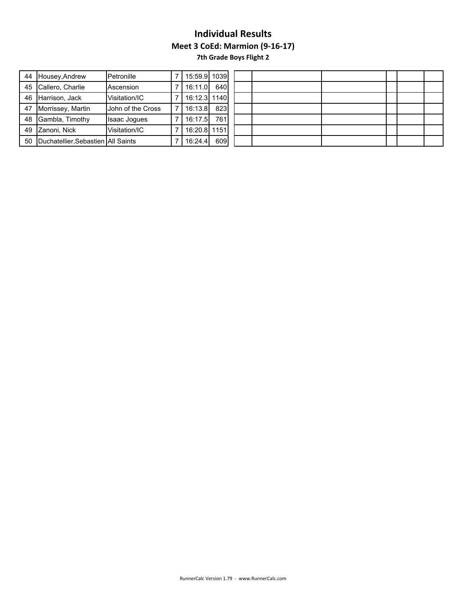**7th Grade Boys Flight 2**

| 44 | Housey, Andrew                     | Petronille               | 15:59.9 1039 |     |  |
|----|------------------------------------|--------------------------|--------------|-----|--|
|    | 45 Callero, Charlie                | Ascension                | 16:11.0      | 640 |  |
|    | 46 Harrison, Jack                  | Visitation/IC            | 16:12.3 1140 |     |  |
| 47 | Morrissey, Martin                  | <b>John of the Cross</b> | 16:13.8      | 823 |  |
| 48 | Gambla, Timothy                    | <b>Isaac Jogues</b>      | 16:17.5      | 761 |  |
|    | 49 Zanoni, Nick                    | Visitation/IC            | 16:20.8 1151 |     |  |
| 50 | Duchatellier, Sebastien All Saints |                          | 16:24.4      | 609 |  |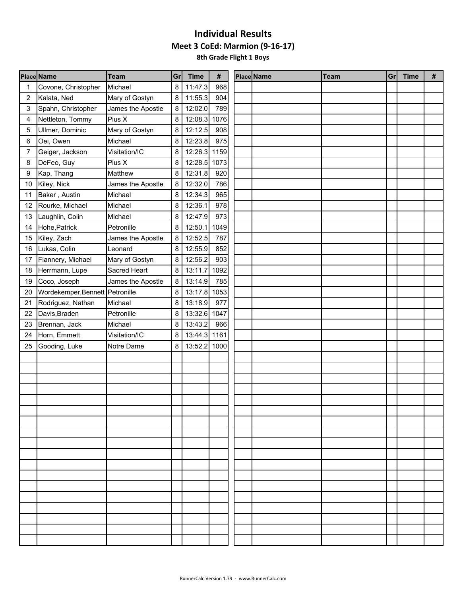|    | <b>Place Name</b>               | <b>Team</b>       | Gr | <b>Time</b>  | #    | Place Name | <b>Team</b> | Gr | <b>Time</b> | # |
|----|---------------------------------|-------------------|----|--------------|------|------------|-------------|----|-------------|---|
|    | Covone, Christopher             | Michael           | 8  | 11:47.3      | 968  |            |             |    |             |   |
| 2  | Kalata, Ned                     | Mary of Gostyn    | 8  | 11:55.3      | 904  |            |             |    |             |   |
| 3  | Spahn, Christopher              | James the Apostle | 8  | 12:02.0      | 789  |            |             |    |             |   |
| 4  | Nettleton, Tommy                | Pius X            | 8  | 12:08.3      | 1076 |            |             |    |             |   |
| 5  | Ullmer, Dominic                 | Mary of Gostyn    | 8  | 12:12.5      | 908  |            |             |    |             |   |
| 6  | Oei, Owen                       | Michael           | 8  | 12:23.8      | 975  |            |             |    |             |   |
| 7  | Geiger, Jackson                 | Visitation/IC     | 8  | 12:26.3 1159 |      |            |             |    |             |   |
| 8  | DeFeo, Guy                      | Pius X            | 8  | 12:28.5 1073 |      |            |             |    |             |   |
| 9  | Kap, Thang                      | Matthew           | 8  | 12:31.8      | 920  |            |             |    |             |   |
| 10 | Kiley, Nick                     | James the Apostle | 8  | 12:32.0      | 786  |            |             |    |             |   |
| 11 | Baker, Austin                   | Michael           | 8  | 12:34.3      | 965  |            |             |    |             |   |
| 12 | Rourke, Michael                 | Michael           | 8  | 12:36.1      | 978  |            |             |    |             |   |
| 13 | Laughlin, Colin                 | Michael           | 8  | 12:47.9      | 973  |            |             |    |             |   |
| 14 | Hohe, Patrick                   | Petronille        | 8  | 12:50.1      | 1049 |            |             |    |             |   |
| 15 | Kiley, Zach                     | James the Apostle | 8  | 12:52.5      | 787  |            |             |    |             |   |
| 16 | Lukas, Colin                    | Leonard           | 8  | 12:55.9      | 852  |            |             |    |             |   |
| 17 | Flannery, Michael               | Mary of Gostyn    | 8  | 12:56.2      | 903  |            |             |    |             |   |
| 18 | Herrmann, Lupe                  | Sacred Heart      | 8  | 13:11.7      | 1092 |            |             |    |             |   |
| 19 | Coco, Joseph                    | James the Apostle | 8  | 13:14.9      | 785  |            |             |    |             |   |
| 20 | Wordekemper, Bennett Petronille |                   | 8  | 13:17.8 1053 |      |            |             |    |             |   |
| 21 | Rodriguez, Nathan               | Michael           | 8  | 13:18.9      | 977  |            |             |    |             |   |
| 22 | Davis, Braden                   | Petronille        | 8  | 13:32.6 1047 |      |            |             |    |             |   |
| 23 | Brennan, Jack                   | Michael           | 8  | 13:43.2      | 966  |            |             |    |             |   |
| 24 | Horn, Emmett                    | Visitation/IC     | 8  | 13:44.3 1161 |      |            |             |    |             |   |
| 25 | Gooding, Luke                   | Notre Dame        | 8  | 13:52.2 1000 |      |            |             |    |             |   |
|    |                                 |                   |    |              |      |            |             |    |             |   |
|    |                                 |                   |    |              |      |            |             |    |             |   |
|    |                                 |                   |    |              |      |            |             |    |             |   |
|    |                                 |                   |    |              |      |            |             |    |             |   |
|    |                                 |                   |    |              |      |            |             |    |             |   |
|    |                                 |                   |    |              |      |            |             |    |             |   |
|    |                                 |                   |    |              |      |            |             |    |             |   |
|    |                                 |                   |    |              |      |            |             |    |             |   |
|    |                                 |                   |    |              |      |            |             |    |             |   |
|    |                                 |                   |    |              |      |            |             |    |             |   |
|    |                                 |                   |    |              |      |            |             |    |             |   |
|    |                                 |                   |    |              |      |            |             |    |             |   |
|    |                                 |                   |    |              |      |            |             |    |             |   |
|    |                                 |                   |    |              |      |            |             |    |             |   |
|    |                                 |                   |    |              |      |            |             |    |             |   |
|    |                                 |                   |    |              |      |            |             |    |             |   |
|    |                                 |                   |    |              |      |            |             |    |             |   |
|    |                                 |                   |    |              |      |            |             |    |             |   |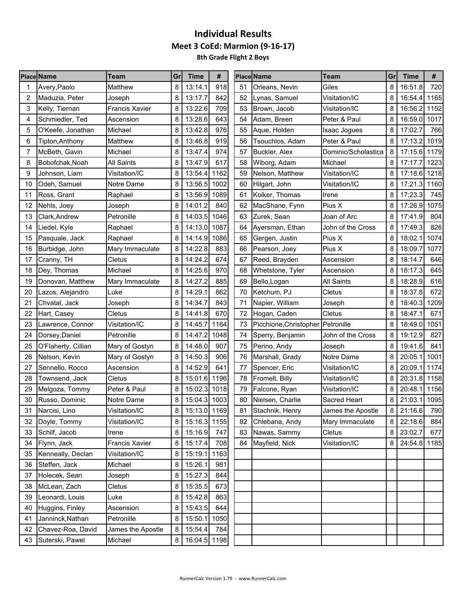|    | <b>Place Name</b>   | Team                  | Grl | <b>Time</b>  | #    |    | <b>Place Name</b>                   | <b>Team</b>         | Grl            | <b>Time</b>  | #    |
|----|---------------------|-----------------------|-----|--------------|------|----|-------------------------------------|---------------------|----------------|--------------|------|
|    | Avery, Paolo        | Matthew               | 8   | 13:14.1      | 918  | 51 | Orleans, Nevin                      | Giles               | 8              | 16:51.8      | 720  |
| 2  | Maduzia, Peter      | Joseph                | 8   | 13:17.7      | 842  | 52 | Lynas, Samuel                       | Visitation/IC       | 8              | 16:54.4 1165 |      |
| 3  | Kelly, Tiernan      | <b>Francis Xavier</b> | 8   | 13:22.6      | 709  | 53 | Brown, Jacob                        | Visitation/IC       | 8              | 16:56.2 1152 |      |
| 4  | Schmiedler, Ted     | Ascension             | 8   | 13:28.6      | 643  | 54 | Adam, Breen                         | Peter & Paul        |                | 16:59.0 1017 |      |
| 5  | O'Keefe, Jonathan   | Michael               | 8   | 13:42.8      | 976  | 55 | Aque, Holden                        | <b>Isaac Jogues</b> | 8              | 17:02.7      | 766  |
| 6  | Tipton, Anthony     | Matthew               | 8   | 13:46.8      | 919  | 56 | Tsouchlos, Adam                     | Peter & Paul        | 8              | 17:13.2      | 1019 |
|    | McBeth, Gavin       | Michael               | 8   | 13:47.4      | 974  | 57 | Buckler, Alex                       | Dominic/Scholastica | 8              | 17:15.6 1179 |      |
| 8  | Bobofchak, Noah     | <b>All Saints</b>     | 8   | 13:47.9      | 617  | 58 | Wiborg, Adam                        | Michael             | 8              | 17:17.7      | 1223 |
| 9  | Johnson, Liam       | Visitation/IC         | 8   | 13:54.4      | 1162 | 59 | Nelson, Matthew                     | Visitation/IC       |                | 17:18.6 1218 |      |
| 10 | Odeh, Samuel        | Notre Dame            | 8   | 13:56.5      | 1002 | 60 | Hilgart, John                       | Visitation/IC       | 8              | 17:21.3 1160 |      |
| 11 | Ross, Grant         | Raphael               | 8   | 13:56.9      | 1089 | 61 | Kolker, Thomas                      | Irene               | 8              | 17:23.3      | 745  |
| 12 | Nehls, Joey         | Joseph                | 8   | 14:01.2      | 840  | 62 | MacShane, Fynn                      | Pius X              | 8              | 17:26.9      | 1075 |
| 13 | Clark, Andrew       | Petronille            | 8   | 14:03.5      | 1046 | 63 | Zurek, Sean                         | Joan of Arc         | 8              | 17:41.9      | 804  |
| 14 | Liedel, Kyle        | Raphael               | 8   | 14:13.0      | 1087 | 64 | Ayersman, Ethan                     | John of the Cross   | 8              | 17:49.3      | 826  |
| 15 | Pasquale, Jack      | Raphael               | 8   | 14:14.9      | 1086 | 65 | Gergen, Justin                      | Pius X              | 8              | 18:02.1      | 1074 |
| 16 | Burbidge, John      | Mary Immaculate       | 8   | 14:22.8      | 883  | 66 | Pearson, Joey                       | Pius X              | 8              | 18:09.7      | 1077 |
| 17 | Cranny, TH          | Cletus                | 8   | 14:24.2      | 674  | 67 | Reed, Brayden                       | Ascension           | 8              | 18:14.7      | 646  |
| 18 | Dey, Thomas         | Michael               | 8   | 14:25.6      | 970  | 68 | Whetstone, Tyler                    | Ascension           | 8              | 18:17.3      | 645  |
| 19 | Donovan, Matthew    | Mary Immaculate       | 8   | 14:27.2      | 885  | 69 | Bello, Logan                        | <b>All Saints</b>   | 8              | 18:28.9      | 616  |
| 20 | Lazos, Alejandro    | Luke                  | 8   | 14:29.1      | 862  | 70 | Ketchum, PJ                         | Cletus              | 8              | 18:37.8      | 672  |
| 21 | Chvatal, Jack       | Joseph                | 8   | 14:34.7      | 843  | 71 | Napier, William                     | Joseph              | 8              | 18:40.3      | 1209 |
| 22 | Hart, Casey         | Cletus                | 8   | 14:41.8      | 670  | 72 | Hogan, Caden                        | Cletus              | 8              | 18:47.1      | 671  |
| 23 | Lawrence, Connor    | Visitation/IC         | 8   | 14:45.7      | 1164 | 73 | Picchione, Christopher   Petronille |                     | 8              | 18:49.0      | 1051 |
| 24 | Dorsey, Daniel      | Petronille            | 8   | 14:47.2      | 1048 | 74 | Sperry, Benjamin                    | John of the Cross   | 8              | 19:12.9      | 827  |
| 25 | O'Flaherty, Cillian | Mary of Gostyn        | 8   | 14:48.0      | 907  | 75 | Perino, Andy                        | Joseph              | 8              | 19:41.6      | 841  |
| 26 | Nelson, Kevin       | Mary of Gostyn        | 8   | 14:50.3      | 906  | 76 | Marshall, Grady                     | Notre Dame          | 8              | 20:05.1      | 1001 |
| 27 | Sennello, Rocco     | Ascension             | 8   | 14:52.9      | 641  | 77 | Spencer, Eric                       | Visitation/IC       | 8              | 20:09.1      | 1174 |
| 28 | Townsend, Jack      | Cletus                | 8   | 15:01.6      | 1196 | 78 | Fromelt, Billy                      | Visitation/IC       | 8              | 20:31.8 1158 |      |
| 29 | Melgoza, Tommy      | Peter & Paul          | 8   | 15:02.3      | 1018 | 79 | Falcone, Ryan                       | Visitation/IC       | 8              | 20:48.1      | 1156 |
| 30 | Russo, Dominic      | Notre Dame            | 8   | 15:04.3 1003 |      | 80 | Nielsen, Charlie                    | Sacred Heart        | 8              | 21:03.1 1095 |      |
| 31 | Narcisi, Lino       | Visitation/IC         | 8   | 15:13.0 1169 |      | 81 | Stachnik, Henry                     | James the Apostle   | 8 <sup>1</sup> | 21:16.6      | 790  |
| 32 | Doyle, Tommy        | Visitation/IC         | 8   | 15:16.3 1155 |      | 82 | Chlebana, Andy                      | Mary Immaculate     | 8              | 22:18.6      | 884  |
| 33 | Schilf, Jacob       | Irene                 | 8   | 15:16.9      | 747  | 83 | Nawas, Sammy                        | Cletus              | 8              | 23:02.7      | 677  |
| 34 | Flynn, Jack         | <b>Francis Xavier</b> | 8   | 15:17.4      | 708  | 84 | Mayfield, Nick                      | Visitation/IC       | 8              | 24:54.8 1185 |      |
| 35 | Kenneally, Declan   | Visitation/IC         | 8   | 15:19.1 1163 |      |    |                                     |                     |                |              |      |
| 36 | Steffen, Jack       | Michael               | 8   | 15:26.1      | 981  |    |                                     |                     |                |              |      |
| 37 | Holecek, Sean       | Joseph                | 8   | 15:27.3      | 844  |    |                                     |                     |                |              |      |
| 38 | McLean, Zach        | Cletus                | 8   | 15:35.5      | 673  |    |                                     |                     |                |              |      |
| 39 | Leonardi, Louis     | Luke                  | 8   | 15:42.8      | 863  |    |                                     |                     |                |              |      |
| 40 | Huggins, Finley     | Ascension             | 8   | 15:43.5      | 644  |    |                                     |                     |                |              |      |
| 41 | Janninck, Nathan    | Petronille            | 8   | 15:50.1 1050 |      |    |                                     |                     |                |              |      |
| 42 | Chavez-Roa, David   | James the Apostle     | 8   | 15:54.4      | 784  |    |                                     |                     |                |              |      |
| 43 | Suterski, Pawel     | Michael               | 8   | 16:04.5 1198 |      |    |                                     |                     |                |              |      |
|    |                     |                       |     |              |      |    |                                     |                     |                |              |      |